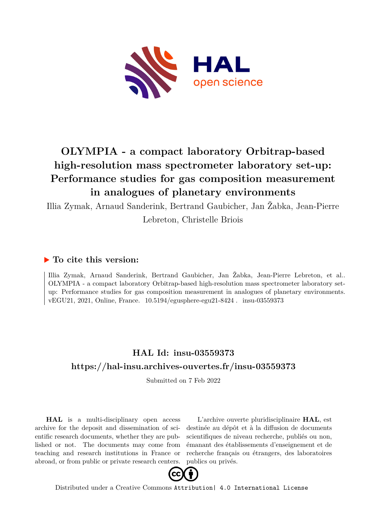

## **OLYMPIA - a compact laboratory Orbitrap-based high-resolution mass spectrometer laboratory set-up: Performance studies for gas composition measurement in analogues of planetary environments**

Illia Zymak, Arnaud Sanderink, Bertrand Gaubicher, Jan Žabka, Jean-Pierre Lebreton, Christelle Briois

## **To cite this version:**

Illia Zymak, Arnaud Sanderink, Bertrand Gaubicher, Jan Žabka, Jean-Pierre Lebreton, et al.. OLYMPIA - a compact laboratory Orbitrap-based high-resolution mass spectrometer laboratory setup: Performance studies for gas composition measurement in analogues of planetary environments. vEGU21, 2021, Online, France.  $10.5194$ /egusphere-egu21-8424. insu-03559373

## **HAL Id: insu-03559373 <https://hal-insu.archives-ouvertes.fr/insu-03559373>**

Submitted on 7 Feb 2022

**HAL** is a multi-disciplinary open access archive for the deposit and dissemination of scientific research documents, whether they are published or not. The documents may come from teaching and research institutions in France or abroad, or from public or private research centers.

L'archive ouverte pluridisciplinaire **HAL**, est destinée au dépôt et à la diffusion de documents scientifiques de niveau recherche, publiés ou non, émanant des établissements d'enseignement et de recherche français ou étrangers, des laboratoires publics ou privés.



Distributed under a Creative Commons [Attribution| 4.0 International License](http://creativecommons.org/licenses/by/4.0/)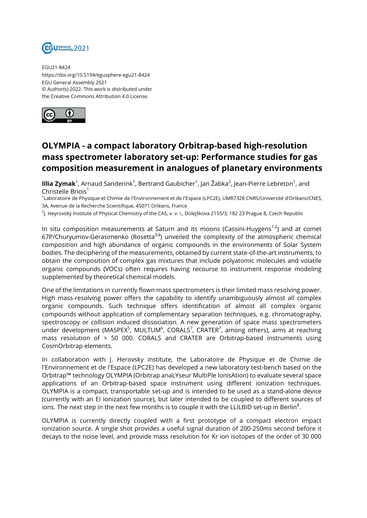

EGU21-8424 https://doi.org/10.5194/egusphere-egu21-8424 EGU General Assembly 2021 © Author(s) 2022. This work is distributed under the Creative Commons Attribution 4.0 License.



## **OLYMPIA - a compact laboratory Orbitrap-based high-resolution mass spectrometer laboratory set-up: Performance studies for gas composition measurement in analogues of planetary environments**

**Illia Zymak**<sup>1</sup>, Arnaud Sanderink<sup>1</sup>, Bertrand Gaubicher<sup>1</sup>, Jan Žabka<sup>2</sup>, Jean-Pierre Lebreton<sup>1</sup>, and Christelle Briois<sup>1</sup>

1 Laboratoire de Physique et Chimie de l'Environnement et de l'Espace (LPC2E), UMR7328 CNRS/Université d'Orléans/CNES, 3A, Avenue de la Recherche Scientifique, 45071 Orléans, France

<sup>2</sup>J. Heyrovský Institute of Physical Chemistry of the CAS, v. v. i., Dolejškova 2155/3, 182 23 Prague 8, Czech Republic

In situ composition measurements at Saturn and its moons (Cassini-Huygens<sup>1,2</sup>) and at comet 67P/Churyumov-Gerasimenko (Rosetta $3,4$ ) unveiled the complexity of the atmospheric chemical composition and high abundance of organic compounds in the environments of Solar System bodies. The deciphering of the measurements, obtained by current state-of-the-art instruments, to obtain the composition of complex gas mixtures that include polyatomic molecules and volatile organic compounds (VOCs) often requires having recourse to instrument response modeling supplemented by theoretical chemical models.

One of the limitations in currently flown mass spectrometers is their limited mass resolving power. High mass-resolving power offers the capability to identify unambiguously almost all complex organic compounds. Such technique offers identification of almost all complex organic compounds without application of complementary separation techniques, e.g. chromatography, spectroscopy or collision induced dissociation. A new generation of space mass spectrometers under development (MASPEX<sup>5</sup>, MULTUM<sup>6</sup>, CORALS<sup>7</sup>, CRATER<sup>7</sup>, among others), aims at reaching mass resolution of > 50 000. CORALS and CRATER are Orbitrap-based instruments using CosmOrbitrap elements.

In collaboration with J. Herovsky institute, the Laboratoire de Physique et de Chimie de l'Environnement et de l'Espace (LPC2E) has developed a new laboratory test-bench based on the Orbitrap™ technology OLYMPIA (Orbitrap anaLYseur MultiPle IonisAtion) to evaluate several space applications of an Orbitrap-based space instrument using different ionization techniques. OLYMPIA is a compact, transportable set-up and is intended to be used as a stand-alone device (currently with an EI ionization source), but later intended to be coupled to different sources of ions. The next step in the next few months is to couple it with the LLILBID set-up in Berlin $^8\!$ .

OLYMPIA is currently directly coupled with a first prototype of a compact electron impact ionization source. A single shot provides a useful signal duration of 200-250ms second before it decays to the noise level, and provide mass resolution for Kr ion isotopes of the order of 30 000